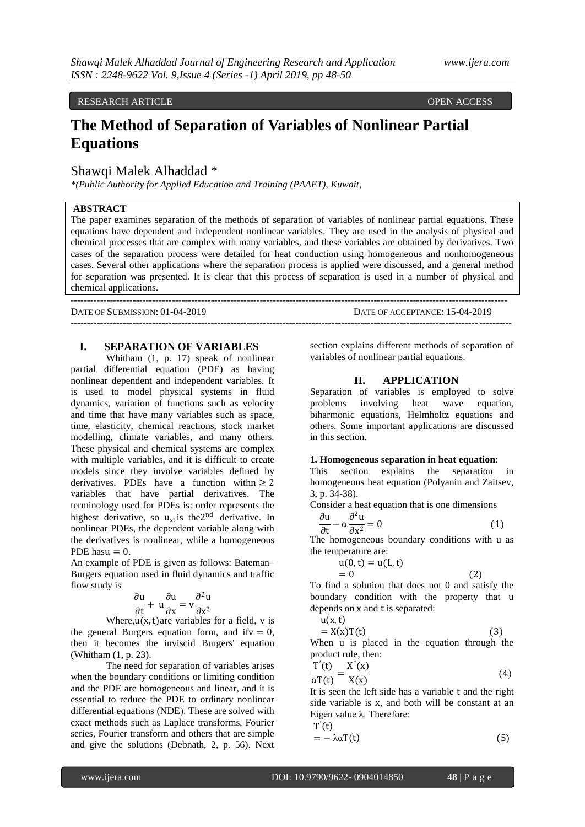RESEARCH ARTICLE **OPEN ACCESS** 

# **The Method of Separation of Variables of Nonlinear Partial Equations**

## Shawqi Malek Alhaddad \*

*\*(Public Authority for Applied Education and Training (PAAET), Kuwait,* 

## **ABSTRACT**

The paper examines separation of the methods of separation of variables of nonlinear partial equations. These equations have dependent and independent nonlinear variables. They are used in the analysis of physical and chemical processes that are complex with many variables, and these variables are obtained by derivatives. Two cases of the separation process were detailed for heat conduction using homogeneous and nonhomogeneous cases. Several other applications where the separation process is applied were discussed, and a general method for separation was presented. It is clear that this process of separation is used in a number of physical and chemical applications.

--------------------------------------------------------------------------------------------------------------------------------------

---------------------------------------------------------------------------------------------------------------------------------------

DATE OF SUBMISSION: 01-04-2019 DATE OF ACCEPTANCE: 15-04-2019

#### **I. SEPARATION OF VARIABLES**

Whitham (1, p. 17) speak of nonlinear partial differential equation (PDE) as having nonlinear dependent and independent variables. It is used to model physical systems in fluid dynamics, variation of functions such as velocity and time that have many variables such as space, time, elasticity, chemical reactions, stock market modelling, climate variables, and many others. These physical and chemical systems are complex with multiple variables, and it is difficult to create models since they involve variables defined by derivatives. PDEs have a function with  $> 2$ variables that have partial derivatives. The terminology used for PDEs is: order represents the highest derivative, so  $u_{xt}$  is the 2<sup>nd</sup> derivative. In nonlinear PDEs, the dependent variable along with the derivatives is nonlinear, while a homogeneous PDE has $u = 0$ .

An example of PDE is given as follows: Bateman– Burgers equation used in fluid dynamics and traffic flow study is

$$
\frac{\partial u}{\partial t} + u \frac{\partial u}{\partial x} = v \frac{\partial^2 u}{\partial x^2}
$$

Where, $u(x, t)$ are variables for a field, v is the general Burgers equation form, and if  $v = 0$ , then it becomes the inviscid Burgers' equation (Whitham (1, p. 23).

The need for separation of variables arises when the boundary conditions or limiting condition and the PDE are homogeneous and linear, and it is essential to reduce the PDE to ordinary nonlinear differential equations (NDE). These are solved with exact methods such as Laplace transforms, Fourier series, Fourier transform and others that are simple and give the solutions (Debnath, 2, p. 56). Next

section explains different methods of separation of variables of nonlinear partial equations.

#### **II. APPLICATION**

Separation of variables is employed to solve problems involving heat wave equation, biharmonic equations, Helmholtz equations and others. Some important applications are discussed in this section.

#### **1. Homogeneous separation in heat equation**:

This section explains the separation in homogeneous heat equation (Polyanin and Zaitsev, 3, p. 34-38).

Consider a heat equation that is one dimensions

$$
\frac{\partial u}{\partial t} - \alpha \frac{\partial^2 u}{\partial x^2} = 0
$$
 (1)

The homogeneous boundary conditions with u as the temperature are:

$$
u(0,t) = u(L,t)
$$

 $= 0$  (2)

To find a solution that does not 0 and satisfy the boundary condition with the property that u depends on x and t is separated:  $u(x, t)$ 

$$
= X(x)T(t) \tag{3}
$$

When u is placed in the equation through the product rule, then:

$$
\frac{T'(t)}{\alpha T(t)} = \frac{X''(x)}{X(x)}
$$
(4)

It is seen the left side has a variable t and the right side variable is x, and both will be constant at an Eigen value λ. Therefore:

$$
T'(t) = -\lambda \alpha T(t) \tag{5}
$$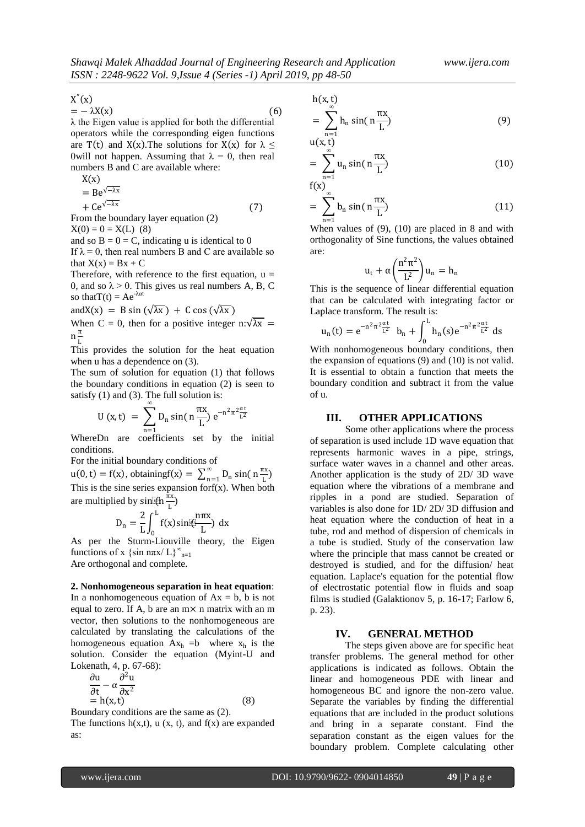(7)

 $X''(x)$ 

 $= -\lambda X(x)$  (6) λ the Eigen value is applied for both the differential operators while the corresponding eigen functions are T(t) and X(x). The solutions for X(x) for  $\lambda \leq$ 0will not happen. Assuming that  $λ = 0$ , then real numbers B and C are available where:

$$
X(x) \bigcup_{x \in X} X(x)
$$

 $= Be^{\sqrt{-\lambda x}}$ 

$$
+Ce^{\sqrt{-\lambda}x}
$$

From the boundary layer equation (2)  $X(0) = 0 = X(L)$  (8)

and so  $B = 0 = C$ , indicating u is identical to 0

If  $\lambda = 0$ , then real numbers B and C are available so that  $X(x) = Bx + C$ 

Therefore, with reference to the first equation,  $u =$ 0, and so  $\lambda > 0$ . This gives us real numbers A, B, C so that  $T(t) = Ae^{-\lambda \alpha t}$ 

and  $X(x) = B \sin(\sqrt{\lambda x}) + C \cos(\sqrt{\lambda x})$ 

When C = 0, then for a positive integer n: $\sqrt{\lambda x}$  =  $n\frac{\pi}{l}$ L

This provides the solution for the heat equation when u has a dependence on (3).

The sum of solution for equation (1) that follows the boundary conditions in equation (2) is seen to satisfy (1) and (3). The full solution is:

$$
U(x,t) = \sum_{n=1}^{\infty} D_n \sin\left(n \frac{\pi x}{L}\right) e^{-n^2 \pi^2 \frac{\alpha t}{L^2}}
$$

WhereDn are coefficients set by the initial conditions.

For the initial boundary conditions of

 $u(0, t) = f(x)$ , obtaining  $f(x) = \sum_{n=1}^{\infty} D_n \sin(\theta)$  $_{n=1}^{\infty}$  D<sub>n</sub> sin( n  $_{\frac{\pi x}{L}}^{\infty}$  $\frac{1}{L}$ This is the sine series expansion for  $f(x)$ . When both are multiplied by sin.  $\overline{f}$  (n  $\frac{\pi x}{l}$  $\frac{1}{L}$ 

$$
D_n = \frac{2}{L} \int_0^L f(x) \sin \left(\frac{n\pi x}{L}\right) dx
$$

As per the Sturm-Liouville theory, the Eigen functions of x {sin n $\pi x/L$ }<sup>∞</sup><sub>n=1</sub> Are orthogonal and complete.

#### **2. Nonhomogeneous separation in heat equation**:

In a nonhomogeneous equation of  $Ax = b$ , b is not equal to zero. If A, b are an  $m \times n$  matrix with an m vector, then solutions to the nonhomogeneous are calculated by translating the calculations of the homogeneous equation  $Ax_h = b$  where  $x_h$  is the solution. Consider the equation (Myint-U and Lokenath, 4, p. 67-68):

$$
\frac{\partial u}{\partial t} - \alpha \frac{\partial^2 u}{\partial x^2} \n= h(x, t)
$$
\n(8)

Boundary conditions are the same as (2).

The functions  $h(x,t)$ ,  $u(x, t)$ , and  $f(x)$  are expanded as:

h(x,t)

$$
= \sum_{n=1}^{\infty} h_n \sin\left(n \frac{\pi x}{L}\right) \tag{9}
$$

 $u(x,t)$  $=$   $\sum u_n \sin(\theta)$ ∞ n=1  $n \frac{\pi x}{I}$ L ) (10)

 $f(x)$ 

$$
= \sum_{n=1}^{\infty} b_n \sin\left(n \frac{\pi x}{L}\right) \tag{11}
$$

When values of (9), (10) are placed in 8 and with orthogonality of Sine functions, the values obtained are:

$$
u_t + \alpha \left(\frac{n^2 \pi^2}{L^2}\right) u_n = h_n
$$

This is the sequence of linear differential equation that can be calculated with integrating factor or Laplace transform. The result is:

$$
u_n(t) = e^{-n^2 \pi^2 \frac{\alpha t}{L^2}} b_n + \int_0^L h_n(s) e^{-n^2 \pi^2 \frac{\alpha t}{L^2}} ds
$$

With nonhomogeneous boundary conditions, then the expansion of equations (9) and (10) is not valid. It is essential to obtain a function that meets the boundary condition and subtract it from the value of u.

#### **III. OTHER APPLICATIONS**

Some other applications where the process of separation is used include 1D wave equation that represents harmonic waves in a pipe, strings, surface water waves in a channel and other areas. Another application is the study of 2D/ 3D wave equation where the vibrations of a membrane and ripples in a pond are studied. Separation of variables is also done for 1D/ 2D/ 3D diffusion and heat equation where the conduction of heat in a tube, rod and method of dispersion of chemicals in a tube is studied. Study of the conservation law where the principle that mass cannot be created or destroyed is studied, and for the diffusion/ heat equation. Laplace's equation for the potential flow of electrostatic potential flow in fluids and soap films is studied (Galaktionov 5, p. 16-17; Farlow 6, p. 23).

## **IV. GENERAL METHOD**

The steps given above are for specific heat transfer problems. The general method for other applications is indicated as follows. Obtain the linear and homogeneous PDE with linear and homogeneous BC and ignore the non-zero value. Separate the variables by finding the differential equations that are included in the product solutions and bring in a separate constant. Find the separation constant as the eigen values for the boundary problem. Complete calculating other